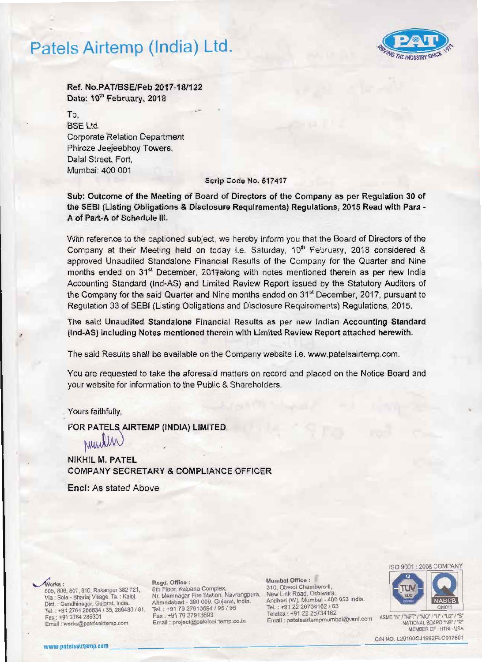# Patels Airtemp (India) Ltd .



Ref. No.PAT/BSEIFeb 2017-18/122 Date: 10<sup>th</sup> February, 2018

 $\overline{r}$ BSE Ltd. Corporate Relation Department Phiroze Jeejeebhoy Towers, Dalal Street, Fort, Mumbai: 400 001

## Scrip Code No. 517417

Sub: Outcome of the Meeting of Board of Directors of the Company as per Regulation 30 of the SEBI (Listing Obligations & Disclosure Requirements) Regulations, 2015 Read with Para-A of Part-A of Schedule III.

With reference to the captioned subject, we hereby inform you that the Board of Directors of the Company at their Meeting held on today i.e. Saturday, 10<sup>th</sup> February, 2018 considered & approved Unaudited Standalone Financial Results of the Company for the Quarter and Nine months ended on 31<sup>st</sup> December, 2017along with notes mentioned therein as per new India Accounting Standard (Ind·AS) and Limited Review Report issued by the Statutory Auditors of the Company for the said Quarter and Nine months ended on 31<sup>st</sup> December, 2017, pursuant to Regulation 33 of SEBI (listing Obligations and Disclosure Requirements) Regulations, 2015.

The said Unaudited Standalone Financial Results as per new Indian Accounting Standard (Ind·AS) including Notes mentioned therein with Limited Review Report attached herewith.

The said Results shall be available on the Company website i.e. www.patelsairtemp.com.

You are requested to take the aforesaid matters on record and placed on the Notice Board and your website for information to the Public & Shareholders.

# Yours faithfully, •

FOR PATELS AIRTEMP (INDIA) LIMITED

Number

NIKHIL M. PATEL COMPANY SECRETARY & COMPLIANCE OFFICER

Enel: As stated Above

Fax : +91 2704 260301<br>Email : works@patelsairtemp.com Email : project@patelsairtemp.co.in : Email : patelsairtempmumbal@vsnl.com

Via : Sola - Bhadaj Village, Ta. : Kalol, Nr. Memnagar Fire Station, Navrangpura, Dist. : Gandhinagar, Gujarat, India. Ahmedabad - 380 009. Gujarat, India. AhmeI.1abad Andheri (W), Murnbai· 400 053 India. Dis!. • 380 009. Gujarat, India. . Gandhinag8l', Gujarat. India Tal. : \*9122 26734182 163 Tel Tel.. +91 79 27913694 195 / <sup>96</sup>. \*91 2764 286634 *135.* 286480 181 ,

., Regd. Office: Mumbai Office : 807, 810, Rakanpur 382 721, Sth Floor, Kalpana Complex, 310, Oberoi Chambers-ll, 805, 806, 807, 810, Rakanpur 382 721, 5th Floor, Kalpana Complex, 310, Oberoi Chambers-ll, 806, 807, 810, Ni



ASME "N" / "NPT" / "MO" / "U" / "U2" / "S" NATIONAL BOARD "NB" / "R"

CIN NO. L29190GJ1992PLC017801 CIN NO. L29190GJ1992PLC017801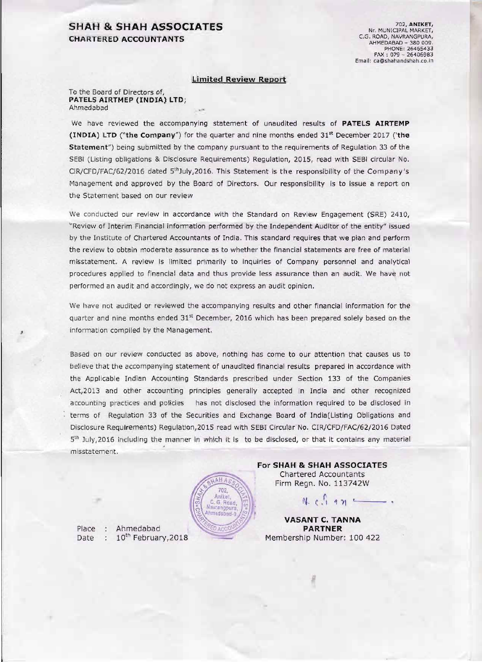# SHAH & SHAH ASSOCIATES CHARTERED ACCOUNTANTS

702, ANIKET, Nr. MUNICIPAL MARKET,<br>C.G. ROAD, NAVRANGPURA,<br>AHMEDABAD - 380 009. PHONE: 26465433 FAX: 079 - 26406983 Email: ca@shahandshah.co.in

## limited Review Report

To the Board of Directors of, PATELS AIRTMEP (INDIA) LTD: Ahmedabad

We have reviewed the accompanying statement of unaudited results of PATELS AIRTEMP (INDIA) LTD ("the Company") for the quarter and nine months ended  $31<sup>st</sup>$  December 2017 ('the Statement") being submitted by the company pursuant to the requirements of Regulation 33 of the SEBI (Listing obligations & Disclosure Requirements) Regulation, 2015, read with SEBI circular No. CIR/CFD/FAC/62/2016 dated 5<sup>th</sup>July,2016. This Statement is the responsibility of the Company's Management and approved by the Board of Directors. Our responsibility is to issue a report on the Statement based on our review

We conducted our review in accordance with the Standard on Review Engagement (SRE) 2410, "Review of Interim Financial information performed by the Independent Auditor of the entity" issued by the Institute of Chartered Accountants of India. This standard requires that we plan and perform the review to obtain moderate assurance as to whether the flnanclal statements are free of material misstatement. A review is limited primarily to inquiries of Company personnel and analytical procedures applied to financial data and thus provide less assurance than an audit. We have not performed an audit and accordingly, we do not express an audit opinion.

We have not audited or reviewed the accompanying results and other financial information for the quarter and nine months ended  $31<sup>st</sup>$  December, 2016 which has been prepared solely based on the information compiled by the Management.

Based on our review conducted as above, nothing has come to our attention that causes us to believe that the accompanying statement of unaudited financial results prepared in accordance with the Applicable Indian Accounting Standards prescribed under Section 133 of the Companies Act,2013 and other accounting principles generally accepted In India and other recognized accounting practices and policies has not disclosed the information required to be disclosed in terms of Regulation 33 of the Securities and Exchange Board of Indla(Listing Obligations and Disclosure Requirements) Regulation, 2015 read with SEBI Circular No. CIR/CFD/FAC/62/2016 Dated  $5<sup>th</sup>$  July, 2016 including the manner in which it is to be disclosed, or that it contains any material mlsstatement.



Place : Ahmedabad **PARTNER**<br>Date : 10<sup>th</sup> February, 2018 Membership Number Date :  $10^{th}$  February, 2018 Membership Number: 100 422

For SHAH & SHAH ASSOCIATES Chartered Accountants Firm Regn. No. 113742W

 $N. c. 197$  ~

VASANT C, TANNA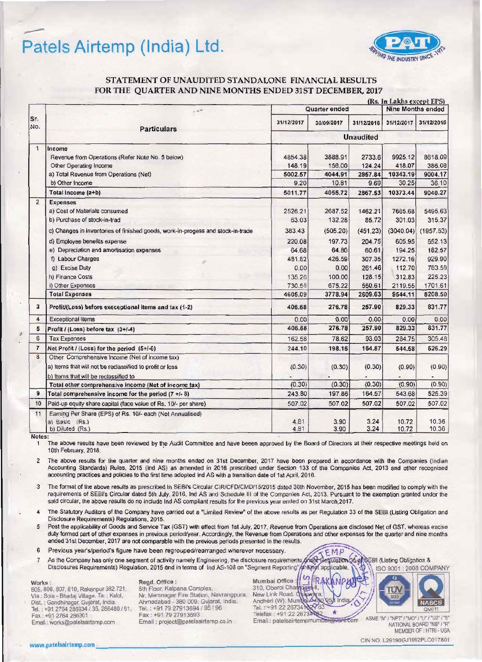# Patels Airtemp (India) Ltd.



## STATEMENT OF UNAUDITED STANDALONE FINANCIAL RESULTS FOR THE OUARTER AND NINE MONTHS ENDED 31ST DECEMBER, 2017

|                |                                                                                                 | (Rs. In Lakhs except EPS) |              |              |                          |                |
|----------------|-------------------------------------------------------------------------------------------------|---------------------------|--------------|--------------|--------------------------|----------------|
| Sr.<br>No.     | $\sim 10^{10}$<br><b>Particulars</b>                                                            | Quarter ended             |              |              | <b>Nine Months ended</b> |                |
|                |                                                                                                 | 31/12/2017                | 30/09/2017   | 31/12/2016   | 31/12/2017               | 31/12/2016     |
|                |                                                                                                 | <b>Unaudited</b>          |              |              |                          |                |
| $\mathbf{1}$   | Income                                                                                          |                           |              |              |                          |                |
|                | Revenue from Operations (Refer Note No. 5 below)                                                | 4854.38                   | 3888.91      | 2733.6       | 9925.12                  | 8618.09        |
|                | Other Operating Income                                                                          | 148.19                    | 156.00       | 124.24       | 418.07                   | 386.08         |
|                | a) Total Revenue from Operations (Net)                                                          | 5002.57                   | 4044.91      | 2857.84      | 10343.19                 | 9004.17        |
|                | b) Other Income                                                                                 | 9.20                      | 10.81        | 9.69         | 30.25                    | 36.10          |
|                | Total Income (a+b)                                                                              | 5011.77                   | 4055.72      | 2867.53      | 10373.44                 | 9040.27        |
| $\overline{2}$ | <b>Expenses</b>                                                                                 |                           |              |              |                          |                |
|                | a) Cost of Materials consumed                                                                   | 2526.21                   | 2687.52      | 1462.21      | 7665.68                  | 5495.63        |
|                | b) Purchase of stock-in-trad                                                                    | 63.03                     | 132.28       | 85.72        | 301.03                   | 315.37         |
|                | c) Changes in inventories of finished goods, work-in-progess and stock-in-trade                 | 383.43                    | (505.20)     | (451.23)     | (3040.04)                | (1957.53)      |
|                | d) Employee benefits expense                                                                    | 220.08                    | 197.73       | 204.75       | 605.95                   | 552.13         |
|                | e) Depreciation and amortisation expenses                                                       | 64.68                     | 64.80        | 60.61        | 194.25                   | 182.57         |
|                | f) Labour Charges                                                                               | 481.82                    | 426.59       | 307.35       | 1272.16                  | 929.90         |
|                | g) Excise Duty                                                                                  | 0.00                      | 0.00         | 261.46       | 112.70                   | 763.59         |
|                | h) Finance Costs                                                                                | 135.26                    | 100.00       | 128.15       | 312.83                   | 225.23         |
|                | i) Other Expenses                                                                               | 730.58                    | 675.22       | 550.61       | 2119.55                  | 1701.61        |
|                | <b>Total Expenses</b>                                                                           | 4605.09                   | 3778.94      | 2609.63      | 9544.11                  | 8208.50        |
| 3              | Profit/(Loss) before execeptional items and tax (1-2)                                           | 406.68                    | 276.78       | 257.90       | 829.33                   | 831.77         |
| 4              | <b>Exceptional Items</b>                                                                        | 0.00                      | 0.00         | 0.00         | 0.00                     | 0.00           |
| 5              | Profit / (Loss) before tax (3+/-4)                                                              | 406.68                    | 276.78       | 257.90       | 829.33                   | 831.77         |
| 6              | <b>Tax Expenses</b>                                                                             | 162.58                    | 78.62        | 93.03        | 284.75                   | 305.48         |
| $\overline{7}$ | Net Profit / (Loss) for the period (5+/-6)                                                      | 244.10                    | 198.16       | 164.87       | 544.58                   | 526.29         |
| 8              | Other Comprehensive Income (Net of income tax)                                                  |                           |              |              |                          |                |
|                | a) Items that will not be reclassified to profit or loss                                        | (0.30)                    | (0.30)       | (0.30)       | (0.90)                   | (0.90)         |
|                | b) Items that will be reclassified to                                                           |                           |              |              |                          |                |
|                | Total other comprehensive income (Net of income tax)                                            | (0.30)                    | (0.30)       | (0.30)       | (0.90)                   | (0.90)         |
| 9              | Total comprehensive income for the period $(7 + 1 - 8)$                                         | 243.80                    | 197.86       | 164.57       | 543.68                   | 525.39         |
| 10             | Paid-up equity share capital (face value of Rs. 10/- per share)                                 | 507.02                    | 507.02       | 507.02       | 507.02                   | 507.02         |
| 11             | Earning Per Share (EPS) of Rs. 10/- each (Not Annualised)<br>a) Basic (Rs.)<br>b) Diluted (Rs.) | 4.81<br>4.81              | 3.90<br>3.90 | 3.24<br>3.24 | 10.72<br>10.72           | 10.36<br>10.36 |

Notes:

The above results have been reviewed by the Audit Committee and have beeen approved by the Board of Directors at their respective meetings held on 1 10th February, 2018.

The above results for the quarter and nine months ended on 31st December, 2017 have been prepared in accordance with the Companies (Indian  $\overline{2}$ Accounting Standards) Rules, 2015 (Ind AS) as amended in 2016 prescribed under Section 133 of the Companies Act, 2013 and other recognised accounting practices and policies to the first time adopted Ind AS with a transition date of 1st April, 2016.

3 The format of the above results as prescribed in SEBI's Circular CIR/CFD/CMD/15/2015 dated 30th November, 2015 has been modified to comply with the requirements of SEBI's Circular dated 5th July, 2016, Ind AS and Schedule III of the Companies Act, 2013. Pursuant to the exemption granted under the said circular, the above results do no include Ind AS compliant results for the previous year ended on 31st March, 2017.

The Statutory Auditors of the Company have carried out a "Limited Review" of the above results as per Regulation 33 of the SEBI (Listing Obligation and  $\overline{\bf{4}}$ Disclosure Requirements) Regulations, 2015.

Post the applicability of Goods and Service Tax (GST) with effect from 1st July, 2017, Revenue from Operations are disclosed Net of GST, whereas excise  $\sqrt{2}$ duty formed part of other expenses in previous period/year. Accordingly, the Revenue from Operations and other expenses for the quarter and nine months ended 31st December, 2017 are not comparable with the previous periods presented in the results.

 $6\overline{6}$ Previous year's/period's figure have been regrouped/rearranged wherever necessary.

EMP Ander As the Company has only one segment of activity namely Engineering, the disclosure requirements aulation 34-of SEBI (Listing Obligatios &  $\overline{7}$ Disclosures Requirements) Regulation, 2015 and in terms of Ind AS-108 on "Segment Reporting f applicable **A**nd ISO 9001 : 2008 COMPANY

### Works:

805, 806, 807, 810, Rakanpur 382 721, Via : Sola - Bhadaj Village, Ta. ; Kalol, Dist. : Gandhinagar, Gujarat, India. Tel.: +91 2764 286634 / 35, 286480 / 81, Fax: +91 2764 286301 Email: works@patelsairtemp.com

### Regd. Office:

5th Floor, Kalpana Complex, Nr. Memnagar Fire Station, Navrangpura, Ahmedabad - 380 009. Gujarat, India. Tel.: +91 79 27913694 / 95 / 96 Fax: +91 79 27913693 Email: project@patelsairtemp.co.in

Mumbai Office  $R$ <sup> $A$ </sup> 310, Oberoi Chambers<br>New Link Road, Oshu Andheri (W), Mumbs Tel.: +91 22 26734 Telefax: +91 22 26734 Email: patelsairtempmumbal@venl.com

lnd

÷



ASME "N" / "NPT" / "MO" / "U" / "U2" / "S" NATIONAL BOARD "NB" / "R" MEMBER OF : HTRI - USA

CIN NO. L29190GJ1992PLC017801